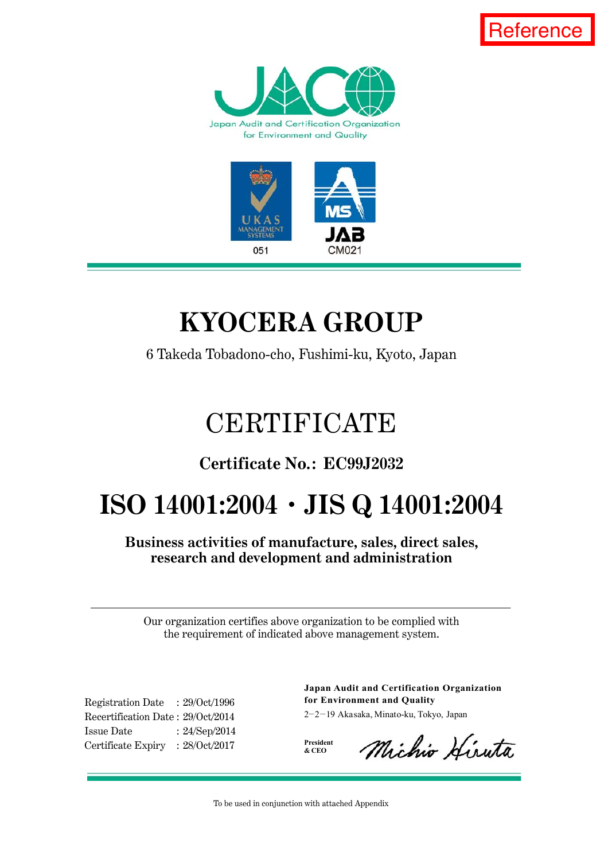





#### **KYOCERA GROUP**

6 Takeda Tobadono-cho, Fushimi-ku, Kyoto, Japan

## CERTIFICATE

#### **Certificate No.: EC99J2032**

### **ISO 14001:2004**࣭**JIS Q 14001:2004**

**Business activities of manufacture, sales, direct sales, research and development and administration** 

Our organization certifies above organization to be complied with the requirement of indicated above management system.

Registration Date : 29/Oct/1996 Recertification Date : 29/Oct/2014 Issue Date : 24/Sep/2014 Certificate Expiry : 28/Oct/2017 **Japan Audit and Certification Organization for Environment and Quality**  2-2-19 Akasaka, Minato-ku, Tokyo, Japan

**President & CEO** 

Michio Hiruta

To be used in conjunction with attached Appendix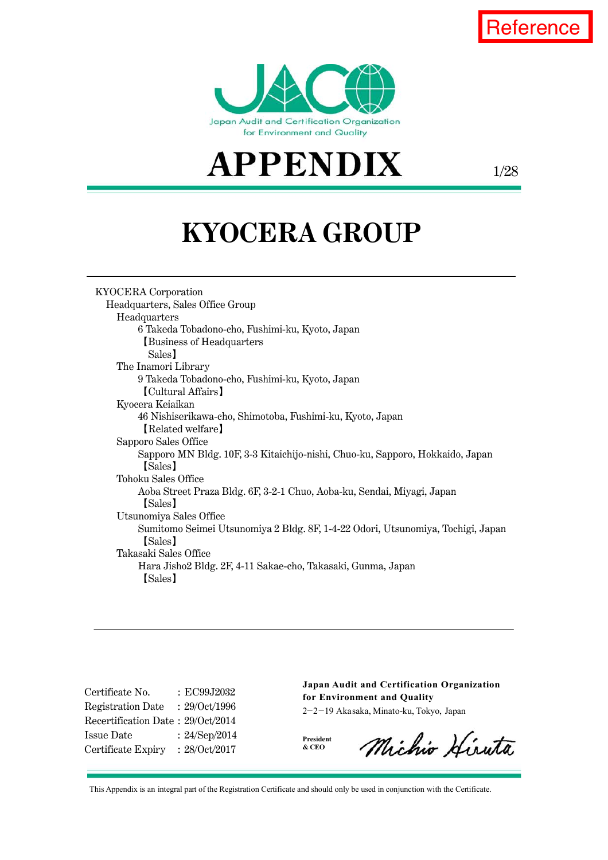

 $\bf APPENDIX$  1/28

# **KYOCERA GROUP**

KYOCERA Corporation Headquarters, Sales Office Group Headquarters 6 Takeda Tobadono-cho, Fushimi-ku, Kyoto, Japan 【Business of Headquarters Sales】 The Inamori Library 9 Takeda Tobadono-cho, Fushimi-ku, Kyoto, Japan 【Cultural Affairs】 Kyocera Keiaikan 46 Nishiserikawa-cho, Shimotoba, Fushimi-ku, Kyoto, Japan 【Related welfare】 Sapporo Sales Office Sapporo MN Bldg. 10F, 3-3 Kitaichijo-nishi, Chuo-ku, Sapporo, Hokkaido, Japan 【Sales】 Tohoku Sales Office Aoba Street Praza Bldg. 6F, 3-2-1 Chuo, Aoba-ku, Sendai, Miyagi, Japan 【Sales】 Utsunomiya Sales Office Sumitomo Seimei Utsunomiya 2 Bldg. 8F, 1-4-22 Odori, Utsunomiya, Tochigi, Japan 【Sales】 Takasaki Sales Office Hara Jisho2 Bldg. 2F, 4-11 Sakae-cho, Takasaki, Gunma, Japan 【Sales】

| Certificate No.                   | : EC99J2032   |
|-----------------------------------|---------------|
| <b>Registration Date</b>          | : 29/Oct/1996 |
| Recertification Date: 29/Oct/2014 |               |
| Issue Date                        | : 24/Sep/2014 |
| Certificate Expiry                | : 28/Oct/2017 |

**Japan Audit and Certification Organization for Environment and Quality** 

2-2-19 Akasaka, Minato-ku, Tokyo, Japan

**President & CEO** 

Michio Hiruta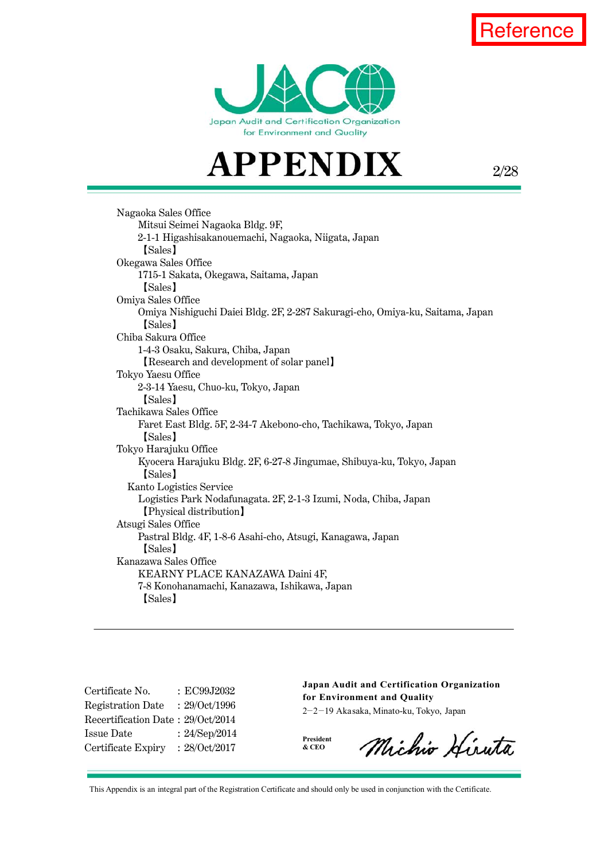



Nagaoka Sales Office Mitsui Seimei Nagaoka Bldg. 9F, 2-1-1 Higashisakanouemachi, Nagaoka, Niigata, Japan 【Sales】 Okegawa Sales Office 1715-1 Sakata, Okegawa, Saitama, Japan 【Sales】 Omiya Sales Office Omiya Nishiguchi Daiei Bldg. 2F, 2-287 Sakuragi-cho, Omiya-ku, Saitama, Japan 【Sales】 Chiba Sakura Office 1-4-3 Osaku, Sakura, Chiba, Japan 【Research and development of solar panel】 Tokyo Yaesu Office 2-3-14 Yaesu, Chuo-ku, Tokyo, Japan 【Sales】 Tachikawa Sales Office Faret East Bldg. 5F, 2-34-7 Akebono-cho, Tachikawa, Tokyo, Japan 【Sales】 Tokyo Harajuku Office Kyocera Harajuku Bldg. 2F, 6-27-8 Jingumae, Shibuya-ku, Tokyo, Japan 【Sales】 Kanto Logistics Service Logistics Park Nodafunagata. 2F, 2-1-3 Izumi, Noda, Chiba, Japan 【Physical distribution】 Atsugi Sales Office Pastral Bldg. 4F, 1-8-6 Asahi-cho, Atsugi, Kanagawa, Japan 【Sales】 Kanazawa Sales Office KEARNY PLACE KANAZAWA Daini 4F, 7-8 Konohanamachi, Kanazawa, Ishikawa, Japan 【Sales】

Certificate No. : EC99J2032 Registration Date : 29/Oct/1996 Recertification Date : 29/Oct/2014 Issue Date : 24/Sep/2014 Certificate Expiry : 28/Oct/2017

**Japan Audit and Certification Organization for Environment and Quality** 

2-2-19 Akasaka, Minato-ku, Tokyo, Japan

**President & CEO** 

Michio Hiruta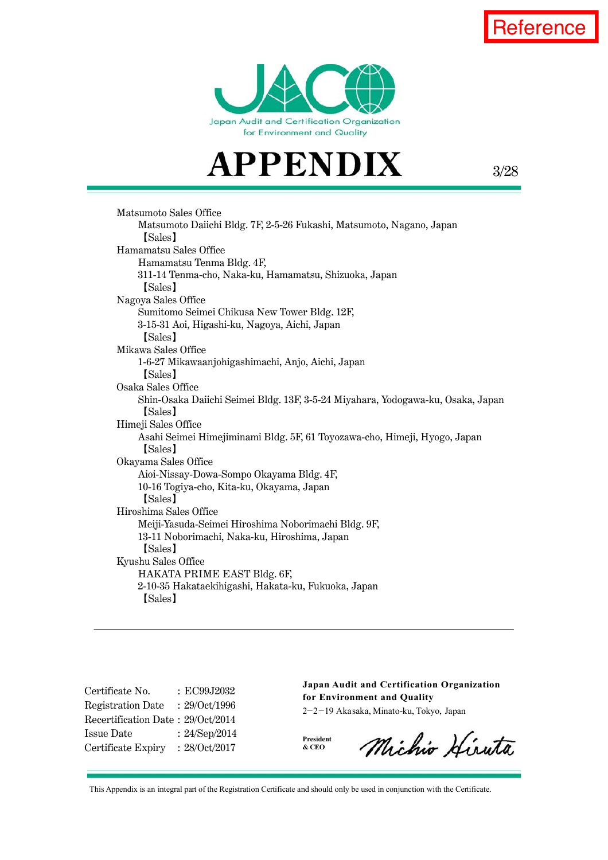



Matsumoto Sales Office Matsumoto Daiichi Bldg. 7F, 2-5-26 Fukashi, Matsumoto, Nagano, Japan 【Sales】 Hamamatsu Sales Office Hamamatsu Tenma Bldg. 4F, 311-14 Tenma-cho, Naka-ku, Hamamatsu, Shizuoka, Japan 【Sales】 Nagoya Sales Office Sumitomo Seimei Chikusa New Tower Bldg. 12F, 3-15-31 Aoi, Higashi-ku, Nagoya, Aichi, Japan 【Sales】 Mikawa Sales Office 1-6-27 Mikawaanjohigashimachi, Anjo, Aichi, Japan 【Sales】 Osaka Sales Office Shin-Osaka Daiichi Seimei Bldg. 13F, 3-5-24 Miyahara, Yodogawa-ku, Osaka, Japan 【Sales】 Himeji Sales Office Asahi Seimei Himejiminami Bldg. 5F, 61 Toyozawa-cho, Himeji, Hyogo, Japan 【Sales】 Okayama Sales Office Aioi-Nissay-Dowa-Sompo Okayama Bldg. 4F, 10-16 Togiya-cho, Kita-ku, Okayama, Japan 【Sales】 Hiroshima Sales Office Meiji-Yasuda-Seimei Hiroshima Noborimachi Bldg. 9F, 13-11 Noborimachi, Naka-ku, Hiroshima, Japan 【Sales】 Kyushu Sales Office HAKATA PRIME EAST Bldg. 6F, 2-10-35 Hakataekihigashi, Hakata-ku, Fukuoka, Japan 【Sales】

| Certificate No.                   | : EC99J2032   |
|-----------------------------------|---------------|
| <b>Registration Date</b>          | : 29/Oct/1996 |
| Recertification Date: 29/Oct/2014 |               |
| <b>Issue Date</b>                 | : 24/Sep/2014 |
| Certificate Expiry                | : 28/Oct/2017 |

**Japan Audit and Certification Organization for Environment and Quality** 

2-2-19 Akasaka, Minato-ku, Tokyo, Japan

**President & CEO** 

Michio Hiruta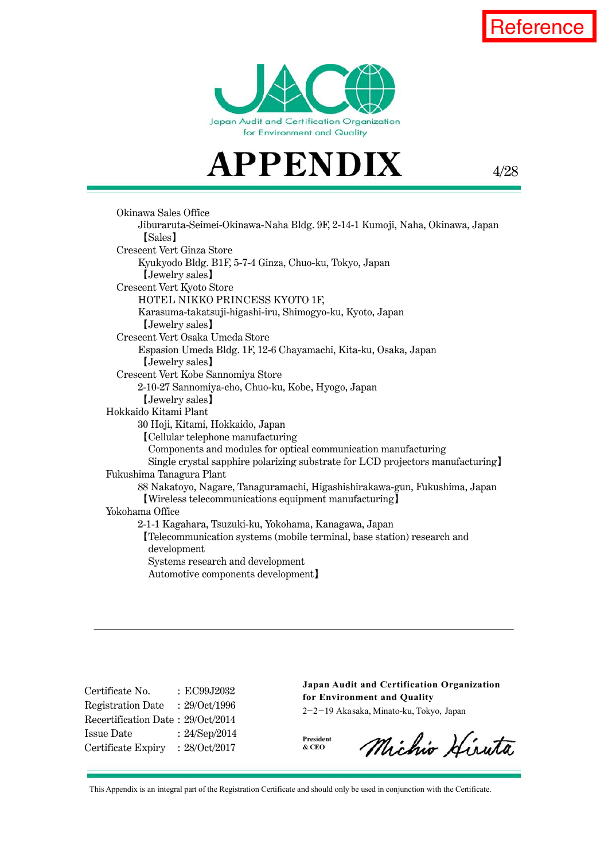





Okinawa Sales Office Jiburaruta-Seimei-Okinawa-Naha Bldg. 9F, 2-14-1 Kumoji, Naha, Okinawa, Japan 【Sales】 Crescent Vert Ginza Store Kyukyodo Bldg. B1F, 5-7-4 Ginza, Chuo-ku, Tokyo, Japan 【Jewelry sales】 Crescent Vert Kyoto Store HOTEL NIKKO PRINCESS KYOTO 1F, Karasuma-takatsuji-higashi-iru, Shimogyo-ku, Kyoto, Japan 【Jewelry sales】 Crescent Vert Osaka Umeda Store Espasion Umeda Bldg. 1F, 12-6 Chayamachi, Kita-ku, Osaka, Japan 【Jewelry sales】 Crescent Vert Kobe Sannomiya Store 2-10-27 Sannomiya-cho, Chuo-ku, Kobe, Hyogo, Japan 【Jewelry sales】 Hokkaido Kitami Plant 30 Hoji, Kitami, Hokkaido, Japan 【Cellular telephone manufacturing Components and modules for optical communication manufacturing Single crystal sapphire polarizing substrate for LCD projectors manufacturing】 Fukushima Tanagura Plant 88 Nakatoyo, Nagare, Tanaguramachi, Higashishirakawa-gun, Fukushima, Japan 【Wireless telecommunications equipment manufacturing】 Yokohama Office 2-1-1 Kagahara, Tsuzuki-ku, Yokohama, Kanagawa, Japan 【Telecommunication systems (mobile terminal, base station) research and development Systems research and development Automotive components development】

| Certificate No.                   | : EC99J2032   |
|-----------------------------------|---------------|
| <b>Registration Date</b>          | : 29/Oct/1996 |
| Recertification Date: 29/Oct/2014 |               |
| Issue Date                        | : 24/Sep/2014 |
| Certificate Expiry                | : 28/Oct/2017 |

**Japan Audit and Certification Organization for Environment and Quality** 

2-2-19 Akasaka, Minato-ku, Tokyo, Japan

**President & CEO** 

Michio Hiruta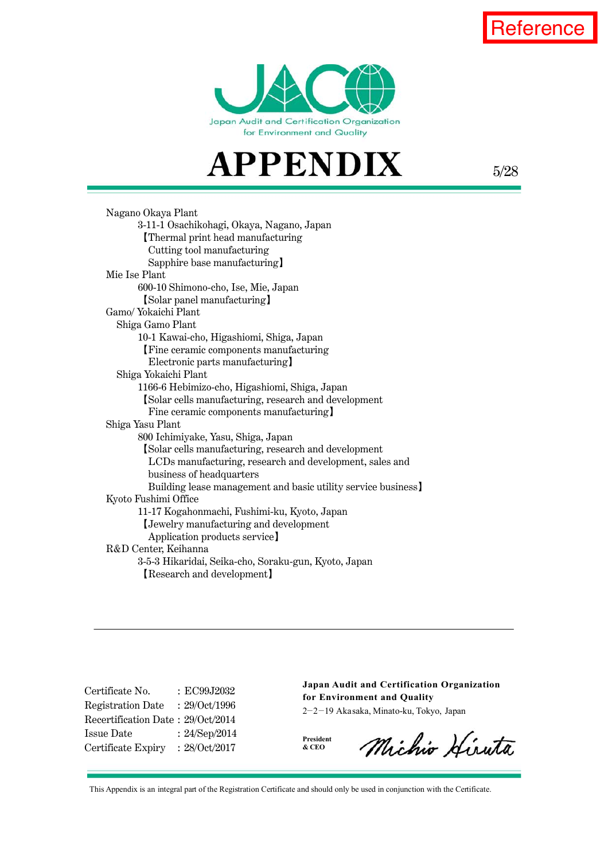



Nagano Okaya Plant 3-11-1 Osachikohagi, Okaya, Nagano, Japan 【Thermal print head manufacturing Cutting tool manufacturing Sapphire base manufacturing】 Mie Ise Plant 600-10 Shimono-cho, Ise, Mie, Japan 【Solar panel manufacturing】 Gamo/ Yokaichi Plant Shiga Gamo Plant 10-1 Kawai-cho, Higashiomi, Shiga, Japan 【Fine ceramic components manufacturing Electronic parts manufacturing】 Shiga Yokaichi Plant 1166-6 Hebimizo-cho, Higashiomi, Shiga, Japan 【Solar cells manufacturing, research and development Fine ceramic components manufacturing】 Shiga Yasu Plant 800 Ichimiyake, Yasu, Shiga, Japan 【Solar cells manufacturing, research and development LCDs manufacturing, research and development, sales and business of headquarters Building lease management and basic utility service business】 Kyoto Fushimi Office 11-17 Kogahonmachi, Fushimi-ku, Kyoto, Japan 【Jewelry manufacturing and development Application products service】 R&D Center, Keihanna 3-5-3 Hikaridai, Seika-cho, Soraku-gun, Kyoto, Japan 【Research and development】

Certificate No. : EC99J2032 Registration Date : 29/Oct/1996 Recertification Date : 29/Oct/2014 Issue Date : 24/Sep/2014 Certificate Expiry : 28/Oct/2017

**Japan Audit and Certification Organization for Environment and Quality** 

2-2-19 Akasaka, Minato-ku, Tokyo, Japan

**President & CEO** 

Michio Hiruta